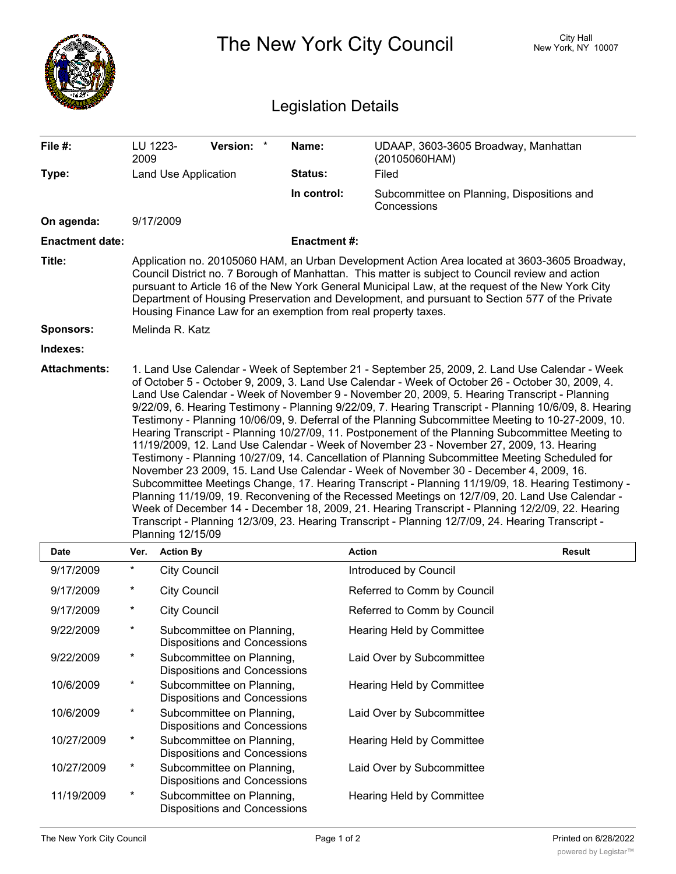|                            | The New York City Council                                                                                                                                                                                                                                                                                                                                                                                                                                                                                                                                                                                                                                                                                                                                                                                                                                                                                                                                                                                                                                                                                                                                                                                                                         |                                                                  |                    | <b>City Hall</b><br>New York, NY 10007                    |               |  |  |
|----------------------------|---------------------------------------------------------------------------------------------------------------------------------------------------------------------------------------------------------------------------------------------------------------------------------------------------------------------------------------------------------------------------------------------------------------------------------------------------------------------------------------------------------------------------------------------------------------------------------------------------------------------------------------------------------------------------------------------------------------------------------------------------------------------------------------------------------------------------------------------------------------------------------------------------------------------------------------------------------------------------------------------------------------------------------------------------------------------------------------------------------------------------------------------------------------------------------------------------------------------------------------------------|------------------------------------------------------------------|--------------------|-----------------------------------------------------------|---------------|--|--|
| <b>Legislation Details</b> |                                                                                                                                                                                                                                                                                                                                                                                                                                                                                                                                                                                                                                                                                                                                                                                                                                                                                                                                                                                                                                                                                                                                                                                                                                                   |                                                                  |                    |                                                           |               |  |  |
| File #:                    | 2009                                                                                                                                                                                                                                                                                                                                                                                                                                                                                                                                                                                                                                                                                                                                                                                                                                                                                                                                                                                                                                                                                                                                                                                                                                              | <b>Version:</b><br>LU 1223-                                      | Name:              | UDAAP, 3603-3605 Broadway, Manhattan<br>(20105060HAM)     |               |  |  |
| Type:                      |                                                                                                                                                                                                                                                                                                                                                                                                                                                                                                                                                                                                                                                                                                                                                                                                                                                                                                                                                                                                                                                                                                                                                                                                                                                   | Land Use Application                                             | Status:            | Filed                                                     |               |  |  |
|                            |                                                                                                                                                                                                                                                                                                                                                                                                                                                                                                                                                                                                                                                                                                                                                                                                                                                                                                                                                                                                                                                                                                                                                                                                                                                   |                                                                  | In control:        | Subcommittee on Planning, Dispositions and<br>Concessions |               |  |  |
| On agenda:                 |                                                                                                                                                                                                                                                                                                                                                                                                                                                                                                                                                                                                                                                                                                                                                                                                                                                                                                                                                                                                                                                                                                                                                                                                                                                   | 9/17/2009                                                        |                    |                                                           |               |  |  |
| <b>Enactment date:</b>     |                                                                                                                                                                                                                                                                                                                                                                                                                                                                                                                                                                                                                                                                                                                                                                                                                                                                                                                                                                                                                                                                                                                                                                                                                                                   |                                                                  | <b>Enactment#:</b> |                                                           |               |  |  |
| Title:                     | Application no. 20105060 HAM, an Urban Development Action Area located at 3603-3605 Broadway,<br>Council District no. 7 Borough of Manhattan. This matter is subject to Council review and action<br>pursuant to Article 16 of the New York General Municipal Law, at the request of the New York City<br>Department of Housing Preservation and Development, and pursuant to Section 577 of the Private<br>Housing Finance Law for an exemption from real property taxes.                                                                                                                                                                                                                                                                                                                                                                                                                                                                                                                                                                                                                                                                                                                                                                        |                                                                  |                    |                                                           |               |  |  |
| <b>Sponsors:</b>           |                                                                                                                                                                                                                                                                                                                                                                                                                                                                                                                                                                                                                                                                                                                                                                                                                                                                                                                                                                                                                                                                                                                                                                                                                                                   | Melinda R. Katz                                                  |                    |                                                           |               |  |  |
| Indexes:                   |                                                                                                                                                                                                                                                                                                                                                                                                                                                                                                                                                                                                                                                                                                                                                                                                                                                                                                                                                                                                                                                                                                                                                                                                                                                   |                                                                  |                    |                                                           |               |  |  |
|                            | of October 5 - October 9, 2009, 3. Land Use Calendar - Week of October 26 - October 30, 2009, 4.<br>Land Use Calendar - Week of November 9 - November 20, 2009, 5. Hearing Transcript - Planning<br>9/22/09, 6. Hearing Testimony - Planning 9/22/09, 7. Hearing Transcript - Planning 10/6/09, 8. Hearing<br>Testimony - Planning 10/06/09, 9. Deferral of the Planning Subcommittee Meeting to 10-27-2009, 10.<br>Hearing Transcript - Planning 10/27/09, 11. Postponement of the Planning Subcommittee Meeting to<br>11/19/2009, 12. Land Use Calendar - Week of November 23 - November 27, 2009, 13. Hearing<br>Testimony - Planning 10/27/09, 14. Cancellation of Planning Subcommittee Meeting Scheduled for<br>November 23 2009, 15. Land Use Calendar - Week of November 30 - December 4, 2009, 16.<br>Subcommittee Meetings Change, 17. Hearing Transcript - Planning 11/19/09, 18. Hearing Testimony -<br>Planning 11/19/09, 19. Reconvening of the Recessed Meetings on 12/7/09, 20. Land Use Calendar -<br>Week of December 14 - December 18, 2009, 21. Hearing Transcript - Planning 12/2/09, 22. Hearing<br>Transcript - Planning 12/3/09, 23. Hearing Transcript - Planning 12/7/09, 24. Hearing Transcript -<br>Planning 12/15/09 |                                                                  |                    |                                                           |               |  |  |
| Date                       | Ver.                                                                                                                                                                                                                                                                                                                                                                                                                                                                                                                                                                                                                                                                                                                                                                                                                                                                                                                                                                                                                                                                                                                                                                                                                                              | <b>Action By</b>                                                 |                    | <b>Action</b>                                             | <b>Result</b> |  |  |
| 9/17/2009                  | $\ast$                                                                                                                                                                                                                                                                                                                                                                                                                                                                                                                                                                                                                                                                                                                                                                                                                                                                                                                                                                                                                                                                                                                                                                                                                                            | <b>City Council</b>                                              |                    | Introduced by Council                                     |               |  |  |
| 9/17/2009                  | $\ast$                                                                                                                                                                                                                                                                                                                                                                                                                                                                                                                                                                                                                                                                                                                                                                                                                                                                                                                                                                                                                                                                                                                                                                                                                                            | <b>City Council</b>                                              |                    | Referred to Comm by Council                               |               |  |  |
| 9/17/2009                  | $\ast$                                                                                                                                                                                                                                                                                                                                                                                                                                                                                                                                                                                                                                                                                                                                                                                                                                                                                                                                                                                                                                                                                                                                                                                                                                            | <b>City Council</b>                                              |                    | Referred to Comm by Council                               |               |  |  |
| 9/22/2009                  | $^\ast$                                                                                                                                                                                                                                                                                                                                                                                                                                                                                                                                                                                                                                                                                                                                                                                                                                                                                                                                                                                                                                                                                                                                                                                                                                           | Subcommittee on Planning,<br><b>Dispositions and Concessions</b> |                    | Hearing Held by Committee                                 |               |  |  |
| 9/22/2009                  | $\ast$                                                                                                                                                                                                                                                                                                                                                                                                                                                                                                                                                                                                                                                                                                                                                                                                                                                                                                                                                                                                                                                                                                                                                                                                                                            | Subcommittee on Planning,<br><b>Dispositions and Concessions</b> |                    | Laid Over by Subcommittee                                 |               |  |  |
| 10/6/2009                  | $\star$                                                                                                                                                                                                                                                                                                                                                                                                                                                                                                                                                                                                                                                                                                                                                                                                                                                                                                                                                                                                                                                                                                                                                                                                                                           | Subcommittee on Planning,<br><b>Dispositions and Concessions</b> |                    | Hearing Held by Committee                                 |               |  |  |
| 10/6/2009                  | $\ast$                                                                                                                                                                                                                                                                                                                                                                                                                                                                                                                                                                                                                                                                                                                                                                                                                                                                                                                                                                                                                                                                                                                                                                                                                                            | Subcommittee on Planning,<br><b>Dispositions and Concessions</b> |                    | Laid Over by Subcommittee                                 |               |  |  |
| 10/27/2009                 | $\ast$                                                                                                                                                                                                                                                                                                                                                                                                                                                                                                                                                                                                                                                                                                                                                                                                                                                                                                                                                                                                                                                                                                                                                                                                                                            | Subcommittee on Planning,<br><b>Dispositions and Concessions</b> |                    | Hearing Held by Committee                                 |               |  |  |
| 10/27/2009                 | $\ast$                                                                                                                                                                                                                                                                                                                                                                                                                                                                                                                                                                                                                                                                                                                                                                                                                                                                                                                                                                                                                                                                                                                                                                                                                                            | Subcommittee on Planning,<br><b>Dispositions and Concessions</b> |                    | Laid Over by Subcommittee                                 |               |  |  |
| 11/19/2009                 | $\ast$                                                                                                                                                                                                                                                                                                                                                                                                                                                                                                                                                                                                                                                                                                                                                                                                                                                                                                                                                                                                                                                                                                                                                                                                                                            | Subcommittee on Planning,                                        |                    | Hearing Held by Committee                                 |               |  |  |

Dispositions and Concessions